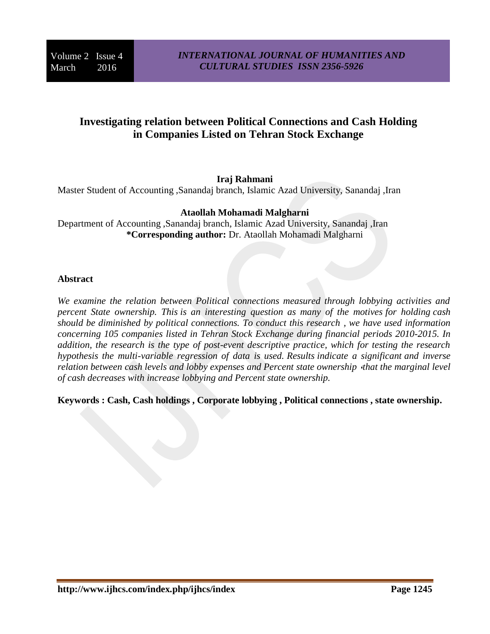# **Investigating relation between Political Connections and Cash Holding in Companies Listed on Tehran Stock Exchange**

### **Iraj Rahmani**

Master Student of Accounting ,Sanandaj branch, Islamic Azad University, Sanandaj ,Iran

### **Ataollah Mohamadi Malgharni**

Department of Accounting ,Sanandaj branch, Islamic Azad University, Sanandaj ,Iran **\*Corresponding author:** Dr. Ataollah Mohamadi Malgharni

#### **Abstract**

*We examine the relation between Political connections measured through lobbying activities and percent State ownership. This is an interesting question as many of the motives for holding cash should be diminished by political connections. To conduct this research , we have used information concerning 105 companies listed in Tehran Stock Exchange during financial periods 2010-2015. In addition, the research is the type of post-event descriptive practice, which for testing the research hypothesis the multi-variable regression of data is used. Results indicate a significant and inverse relation between cash levels and lobby expenses and Percent state ownership «that the marginal level of cash decreases with increase lobbying and Percent state ownership.*

**Keywords : Cash, Cash holdings , Corporate lobbying , Political connections , state ownership.**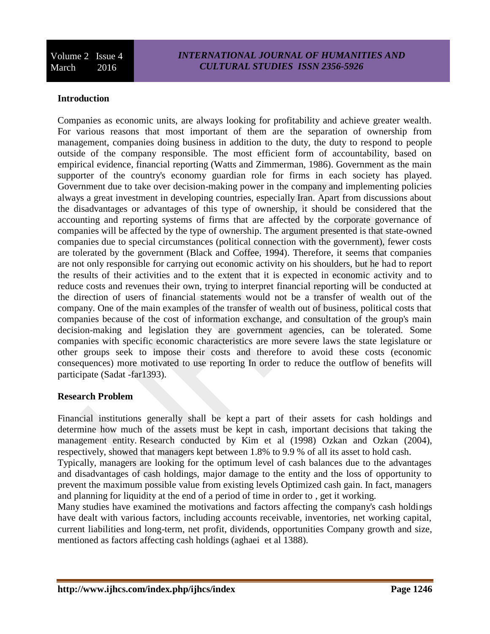Volume 2 Issue 4 March 2016

#### **Introduction**

Companies as economic units, are always looking for profitability and achieve greater wealth. For various reasons that most important of them are the separation of ownership from management, companies doing business in addition to the duty, the duty to respond to people outside of the company responsible. The most efficient form of accountability, based on empirical evidence, financial reporting (Watts and Zimmerman, 1986). Government as the main supporter of the country's economy guardian role for firms in each society has played. Government due to take over decision-making power in the company and implementing policies always a great investment in developing countries, especially Iran. Apart from discussions about the disadvantages or advantages of this type of ownership, it should be considered that the accounting and reporting systems of firms that are affected by the corporate governance of companies will be affected by the type of ownership. The argument presented is that state-owned companies due to special circumstances (political connection with the government), fewer costs are tolerated by the government (Black and Coffee, 1994). Therefore, it seems that companies are not only responsible for carrying out economic activity on his shoulders, but he had to report the results of their activities and to the extent that it is expected in economic activity and to reduce costs and revenues their own, trying to interpret financial reporting will be conducted at the direction of users of financial statements would not be a transfer of wealth out of the company. One of the main examples of the transfer of wealth out of business, political costs that companies because of the cost of information exchange, and consultation of the group's main decision-making and legislation they are government agencies, can be tolerated. Some companies with specific economic characteristics are more severe laws the state legislature or other groups seek to impose their costs and therefore to avoid these costs (economic consequences) more motivated to use reporting In order to reduce the outflow of benefits will participate (Sadat -far1393).

#### **Research Problem**

Financial institutions generally shall be kept a part of their assets for cash holdings and determine how much of the assets must be kept in cash, important decisions that taking the management entity. Research conducted by Kim et al (1998) Ozkan and Ozkan (2004), respectively, showed that managers kept between 1.8% to 9.9 % of all its asset to hold cash.

Typically, managers are looking for the optimum level of cash balances due to the advantages and disadvantages of cash holdings, major damage to the entity and the loss of opportunity to prevent the maximum possible value from existing levels Optimized cash gain. In fact, managers and planning for liquidity at the end of a period of time in order to , get it working.

Many studies have examined the motivations and factors affecting the company's cash holdings have dealt with various factors, including accounts receivable, inventories, net working capital, current liabilities and long-term, net profit, dividends, opportunities Company growth and size, mentioned as factors affecting cash holdings (aghaei et al 1388).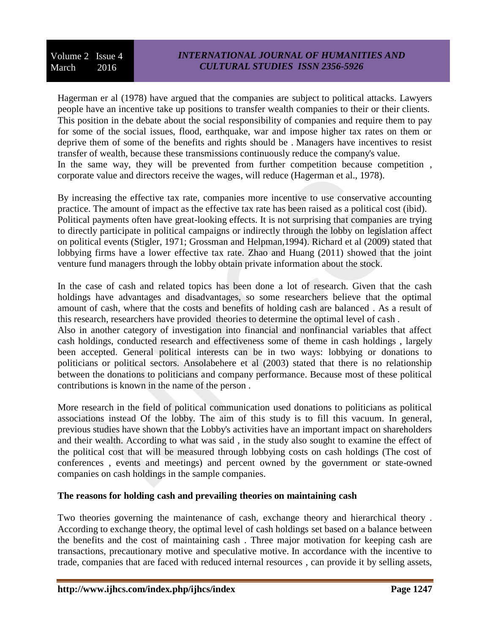Volume 2 Issue 4 March 2016

Hagerman er al (1978) have argued that the companies are subject to political attacks. Lawyers people have an incentive take up positions to transfer wealth companies to their or their clients. This position in the debate about the social responsibility of companies and require them to pay for some of the social issues, flood, earthquake, war and impose higher tax rates on them or deprive them of some of the benefits and rights should be . Managers have incentives to resist transfer of wealth, because these transmissions continuously reduce the company's value. In the same way, they will be prevented from further competition because competition, corporate value and directors receive the wages, will reduce (Hagerman et al., 1978).

By increasing the effective tax rate, companies more incentive to use conservative accounting practice. The amount of impact as the effective tax rate has been raised as a political cost (ibid). Political payments often have great-looking effects. It is not surprising that companies are trying to directly participate in political campaigns or indirectly through the lobby on legislation affect on political events (Stigler, 1971; Grossman and Helpman,1994). Richard et al (2009) stated that lobbying firms have a lower effective tax rate. Zhao and Huang (2011) showed that the joint venture fund managers through the lobby obtain private information about the stock.

In the case of cash and related topics has been done a lot of research. Given that the cash holdings have advantages and disadvantages, so some researchers believe that the optimal amount of cash, where that the costs and benefits of holding cash are balanced . As a result of this research, researchers have provided theories to determine the optimal level of cash .

Also in another category of investigation into financial and nonfinancial variables that affect cash holdings, conducted research and effectiveness some of theme in cash holdings , largely been accepted. General political interests can be in two ways: lobbying or donations to politicians or political sectors. Ansolabehere et al (2003) stated that there is no relationship between the donations to politicians and company performance. Because most of these political contributions is known in the name of the person .

More research in the field of political communication used donations to politicians as political associations instead Of the lobby. The aim of this study is to fill this vacuum. In general, previous studies have shown that the Lobby's activities have an important impact on shareholders and their wealth. According to what was said , in the study also sought to examine the effect of the political cost that will be measured through lobbying costs on cash holdings (The cost of conferences , events and meetings) and percent owned by the government or state-owned companies on cash holdings in the sample companies.

### **The reasons for holding cash and prevailing theories on maintaining cash**

Two theories governing the maintenance of cash, exchange theory and hierarchical theory . According to exchange theory, the optimal level of cash holdings set based on a balance between the benefits and the cost of maintaining cash . Three major motivation for keeping cash are transactions, precautionary motive and speculative motive. In accordance with the incentive to trade, companies that are faced with reduced internal resources , can provide it by selling assets,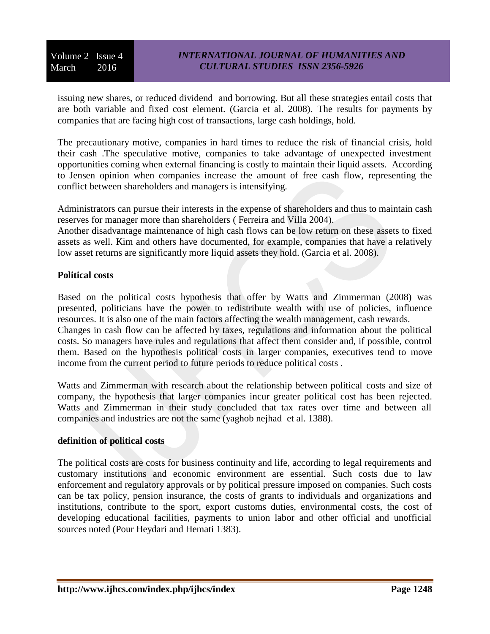issuing new shares, or reduced dividend and borrowing. But all these strategies entail costs that are both variable and fixed cost element. (Garcia et al. 2008). The results for payments by companies that are facing high cost of transactions, large cash holdings, hold.

The precautionary motive, companies in hard times to reduce the risk of financial crisis, hold their cash .The speculative motive, companies to take advantage of unexpected investment opportunities coming when external financing is costly to maintain their liquid assets. According to Jensen opinion when companies increase the amount of free cash flow, representing the conflict between shareholders and managers is intensifying.

Administrators can pursue their interests in the expense of shareholders and thus to maintain cash reserves for manager more than shareholders ( Ferreira and Villa 2004).

Another disadvantage maintenance of high cash flows can be low return on these assets to fixed assets as well. Kim and others have documented, for example, companies that have a relatively low asset returns are significantly more liquid assets they hold. (Garcia et al. 2008).

### **Political costs**

Based on the political costs hypothesis that offer by Watts and Zimmerman (2008) was presented, politicians have the power to redistribute wealth with use of policies, influence resources. It is also one of the main factors affecting the wealth management, cash rewards. Changes in cash flow can be affected by taxes, regulations and information about the political costs. So managers have rules and regulations that affect them consider and, if possible, control them. Based on the hypothesis political costs in larger companies, executives tend to move income from the current period to future periods to reduce political costs .

Watts and Zimmerman with research about the relationship between political costs and size of company, the hypothesis that larger companies incur greater political cost has been rejected. Watts and Zimmerman in their study concluded that tax rates over time and between all companies and industries are not the same (yaghob nejhad et al. 1388).

#### **definition of political costs**

The political costs are costs for business continuity and life, according to legal requirements and customary institutions and economic environment are essential. Such costs due to law enforcement and regulatory approvals or by political pressure imposed on companies. Such costs can be tax policy, pension insurance, the costs of grants to individuals and organizations and institutions, contribute to the sport, export customs duties, environmental costs, the cost of developing educational facilities, payments to union labor and other official and unofficial sources noted (Pour Heydari and Hemati 1383).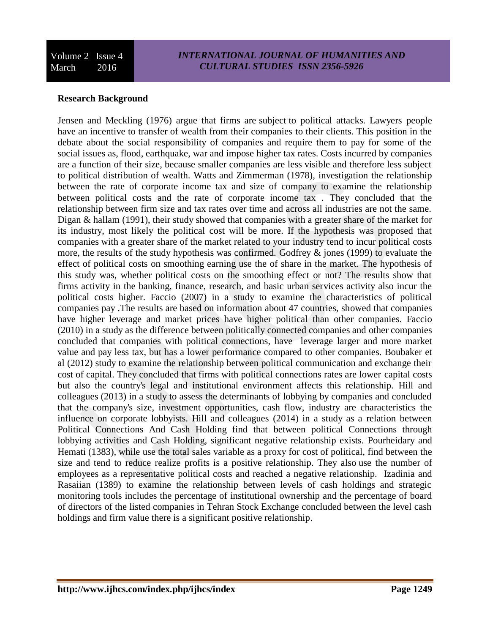# **Research Background**

Jensen and Meckling (1976) argue that firms are subject to political attacks. Lawyers people have an incentive to transfer of wealth from their companies to their clients. This position in the debate about the social responsibility of companies and require them to pay for some of the social issues as, flood, earthquake, war and impose higher tax rates. Costs incurred by companies are a function of their size, because smaller companies are less visible and therefore less subject to political distribution of wealth. Watts and Zimmerman (1978), investigation the relationship between the rate of corporate income tax and size of company to examine the relationship between political costs and the rate of corporate income tax . They concluded that the relationship between firm size and tax rates over time and across all industries are not the same. Digan & hallam (1991), their study showed that companies with a greater share of the market for its industry, most likely the political cost will be more. If the hypothesis was proposed that companies with a greater share of the market related to your industry tend to incur political costs more, the results of the study hypothesis was confirmed. Godfrey & jones (1999) to evaluate the effect of political costs on smoothing earning use the of share in the market. The hypothesis of this study was, whether political costs on the smoothing effect or not? The results show that firms activity in the banking, finance, research, and basic urban services activity also incur the political costs higher. Faccio (2007) in a study to examine the characteristics of political companies pay .The results are based on information about 47 countries, showed that companies have higher leverage and market prices have higher political than other companies. Faccio (2010) in a study as the difference between politically connected companies and other companies concluded that companies with political connections, have leverage larger and more market value and pay less tax, but has a lower performance compared to other companies. Boubaker et al (2012) study to examine the relationship between political communication and exchange their cost of capital. They concluded that firms with political connections rates are lower capital costs but also the country's legal and institutional environment affects this relationship. Hill and colleagues (2013) in a study to assess the determinants of lobbying by companies and concluded that the company's size, investment opportunities, cash flow, industry are characteristics the influence on corporate lobbyists. Hill and colleagues (2014) in a study as a relation between Political Connections And Cash Holding find that between political Connections through lobbying activities and Cash Holding, significant negative relationship exists. Pourheidary and Hemati (1383), while use the total sales variable as a proxy for cost of political, find between the size and tend to reduce realize profits is a positive relationship. They also use the number of employees as a representative political costs and reached a negative relationship. Izadinia and Rasaiian (1389) to examine the relationship between levels of cash holdings and strategic monitoring tools includes the percentage of institutional ownership and the percentage of board of directors of the listed companies in Tehran Stock Exchange concluded between the level cash holdings and firm value there is a significant positive relationship.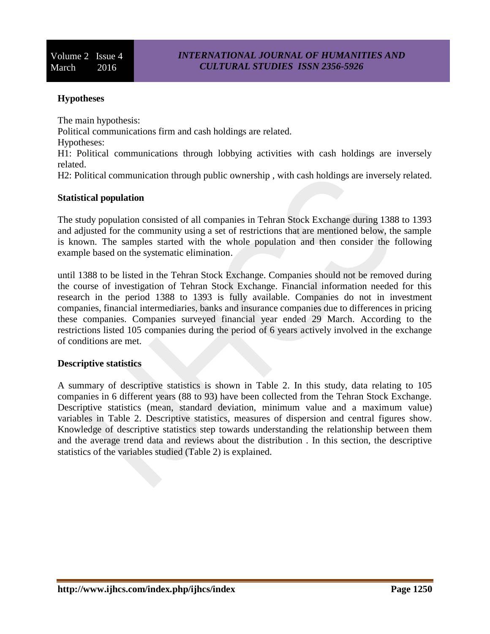### **Hypotheses**

The main hypothesis:

Political communications firm and cash holdings are related.

Hypotheses:

H1: Political communications through lobbying activities with cash holdings are inversely related.

H2: Political communication through public ownership , with cash holdings are inversely related.

### **Statistical population**

The study population consisted of all companies in Tehran Stock Exchange during 1388 to 1393 and adjusted for the community using a set of restrictions that are mentioned below, the sample is known. The samples started with the whole population and then consider the following example based on the systematic elimination.

until 1388 to be listed in the Tehran Stock Exchange. Companies should not be removed during the course of investigation of Tehran Stock Exchange. Financial information needed for this research in the period 1388 to 1393 is fully available. Companies do not in investment companies, financial intermediaries, banks and insurance companies due to differences in pricing these companies. Companies surveyed financial year ended 29 March. According to the restrictions listed 105 companies during the period of 6 years actively involved in the exchange of conditions are met.

#### **Descriptive statistics**

A summary of descriptive statistics is shown in Table 2. In this study, data relating to 105 companies in 6 different years (88 to 93) have been collected from the Tehran Stock Exchange. Descriptive statistics (mean, standard deviation, minimum value and a maximum value) variables in Table 2. Descriptive statistics, measures of dispersion and central figures show. Knowledge of descriptive statistics step towards understanding the relationship between them and the average trend data and reviews about the distribution . In this section, the descriptive statistics of the variables studied (Table 2) is explained.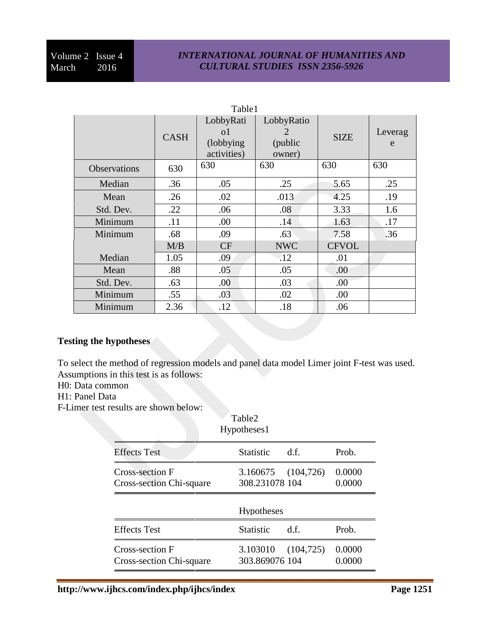### *INTERNATIONAL JOURNAL OF HUMANITIES AND CULTURAL STUDIES ISSN 2356-5926*

| Table1              |             |                                              |                                      |              |              |
|---------------------|-------------|----------------------------------------------|--------------------------------------|--------------|--------------|
|                     | <b>CASH</b> | LobbyRati<br>οl<br>(lobbying)<br>activities) | LobbyRatio<br>2<br>(public<br>owner) | <b>SIZE</b>  | Leverag<br>e |
| <b>Observations</b> | 630         | 630                                          | 630                                  | 630          | 630          |
| Median              | .36         | .05                                          | .25                                  | 5.65         | .25          |
| Mean                | .26         | .02                                          | .013                                 | 4.25         | .19          |
| Std. Dev.           | .22         | .06                                          | .08                                  | 3.33         | 1.6          |
| Minimum             | .11         | .00                                          | .14                                  | 1.63         | .17          |
| Minimum             | .68         | .09                                          | .63                                  | 7.58         | .36          |
|                     | M/B         | CF                                           | <b>NWC</b>                           | <b>CFVOL</b> |              |
| Median              | 1.05        | .09                                          | $\cdot 12$                           | .01          |              |
| Mean                | .88         | .05                                          | .05                                  | .00          |              |
| Std. Dev.           | .63         | .00                                          | .03                                  | .00.         |              |
| Minimum             | .55         | .03                                          | .02                                  | .00          |              |
| Minimum             | 2.36        | .12                                          | .18                                  | .06          |              |

# **Testing the hypotheses**

To select the method of regression models and panel data model Limer joint F-test was used. Assumptions in this test is as follows:

- H0: Data common
- H1: Panel Data
- F-Limer test results are shown below:

|                                             | Table2<br>Hypotheses1                |      |                  |
|---------------------------------------------|--------------------------------------|------|------------------|
| <b>Effects</b> Test                         | <b>Statistic</b>                     | df   | Prob.            |
| Cross-section F<br>Cross-section Chi-square | 3.160675 (104,726)<br>308.231078 104 |      | 0.0000<br>0.0000 |
|                                             | <b>Hypotheses</b>                    |      |                  |
| <b>Effects</b> Test                         | <b>Statistic</b>                     | d.f. | Prob.            |
| Cross-section F<br>Cross-section Chi-square | 3.103010 (104,725)<br>303.869076 104 |      | 0.0000<br>0.0000 |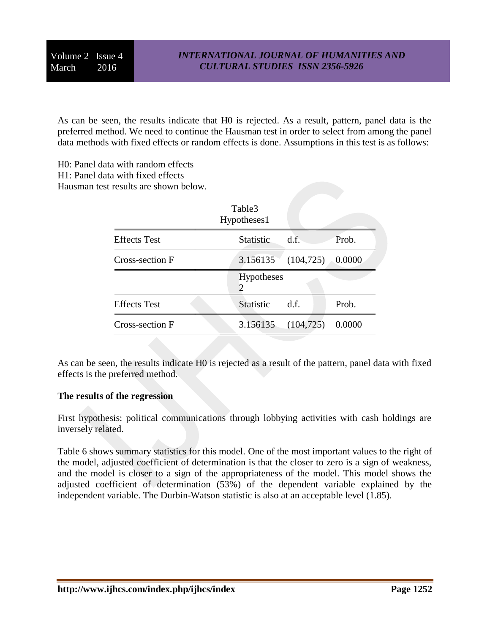As can be seen, the results indicate that H0 is rejected. As a result, pattern, panel data is the preferred method. We need to continue the Hausman test in order to select from among the panel data methods with fixed effects or random effects is done. Assumptions in this test is as follows:

H0: Panel data with random effects

H1: Panel data with fixed effects

Hausman test results are shown below.

|                     | Table3<br>Hypotheses1                            |                           |        |  |
|---------------------|--------------------------------------------------|---------------------------|--------|--|
| <b>Effects</b> Test | Statistic d.f.                                   |                           | Prob.  |  |
| Cross-section F     |                                                  | 3.156135 (104,725) 0.0000 |        |  |
|                     | <b>Hypotheses</b><br>$\mathcal{D}_{\mathcal{L}}$ |                           |        |  |
| <b>Effects</b> Test | <b>Statistic</b>                                 | d f                       | Prob.  |  |
| Cross-section F     |                                                  | $3.156135$ $(104,725)$    | 0.0000 |  |

As can be seen, the results indicate H0 is rejected as a result of the pattern, panel data with fixed effects is the preferred method.

### **The results of the regression**

First hypothesis: political communications through lobbying activities with cash holdings are inversely related.

Table 6 shows summary statistics for this model. One of the most important values to the right of the model, adjusted coefficient of determination is that the closer to zero is a sign of weakness, and the model is closer to a sign of the appropriateness of the model. This model shows the adjusted coefficient of determination (53%) of the dependent variable explained by the independent variable. The Durbin-Watson statistic is also at an acceptable level (1.85).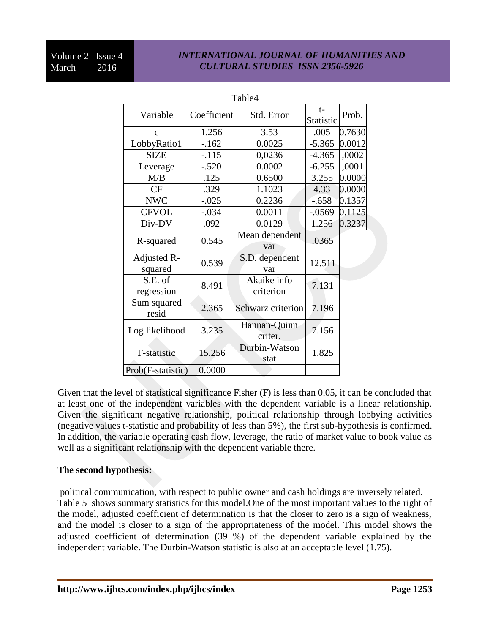# *INTERNATIONAL JOURNAL OF HUMANITIES AND CULTURAL STUDIES ISSN 2356-5926*

|                        |             | Table4                   |                          |        |
|------------------------|-------------|--------------------------|--------------------------|--------|
| Variable               | Coefficient | Std. Error               | $t-$<br><b>Statistic</b> | Prob.  |
| $\mathbf{C}$           | 1.256       | 3.53                     | .005                     | 0.7630 |
| LobbyRatio1            | $-162$      | 0.0025                   | $-5.365$                 | 0.0012 |
| <b>SIZE</b>            | $-115$      | 0,0236                   | $-4.365$                 | ,0002  |
| Leverage               | $-.520$     | 0.0002                   | $-6.255$                 | ,0001  |
| M/B                    | .125        | 0.6500                   | 3.255                    | 0.0000 |
| CF                     | .329        | 1.1023                   | 4.33                     | 0.0000 |
| <b>NWC</b>             | $-0.025$    | 0.2236                   | $-.658$                  | 0.1357 |
| <b>CFVOL</b>           | $-.034$     | 0.0011                   | $-.0569$                 | 0.1125 |
| Div-DV                 | .092        | 0.0129                   | 1.256                    | 0.3237 |
| R-squared              | 0.545       | Mean dependent<br>var    | .0365                    |        |
| Adjusted R-<br>squared | 0.539       | S.D. dependent<br>var    | 12.511                   |        |
| S.E. of<br>regression  | 8.491       | Akaike info<br>criterion | 7.131                    |        |
| Sum squared<br>resid   | 2.365       | Schwarz criterion        | 7.196                    |        |
| Log likelihood         | 3.235       | Hannan-Quinn<br>criter.  | 7.156                    |        |
| F-statistic            | 15.256      | Durbin-Watson<br>stat    | 1.825                    |        |
| Prob(F-statistic)      | 0.0000      |                          |                          |        |

Given that the level of statistical significance Fisher (F) is less than 0.05, it can be concluded that at least one of the independent variables with the dependent variable is a linear relationship. Given the significant negative relationship, political relationship through lobbying activities (negative values t-statistic and probability of less than 5%), the first sub-hypothesis is confirmed. In addition, the variable operating cash flow, leverage, the ratio of market value to book value as well as a significant relationship with the dependent variable there.

### **The second hypothesis:**

political communication, with respect to public owner and cash holdings are inversely related. Table 5 shows summary statistics for this model.One of the most important values to the right of the model, adjusted coefficient of determination is that the closer to zero is a sign of weakness, and the model is closer to a sign of the appropriateness of the model. This model shows the adjusted coefficient of determination (39 %) of the dependent variable explained by the independent variable. The Durbin-Watson statistic is also at an acceptable level (1.75).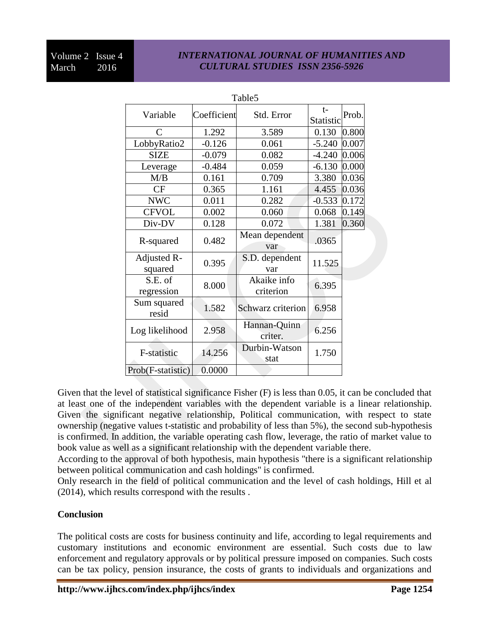# *INTERNATIONAL JOURNAL OF HUMANITIES AND CULTURAL STUDIES ISSN 2356-5926*

|                        |             | Table <sub>5</sub>       |                   |       |
|------------------------|-------------|--------------------------|-------------------|-------|
| Variable               | Coefficient | Std. Error               | $t-$<br>Statistic | Prob. |
| $\mathsf{C}$           | 1.292       | 3.589                    | 0.130             | 0.800 |
| LobbyRatio2            | $-0.126$    | 0.061                    | $-5.240$          | 0.007 |
| <b>SIZE</b>            | $-0.079$    | 0.082                    | $-4.240$          | 0.006 |
| Leverage               | $-0.484$    | 0.059                    | $-6.130$          | 0.000 |
| M/B                    | 0.161       | 0.709                    | 3.380             | 0.036 |
| CF                     | 0.365       | 1.161                    | 4.455             | 0.036 |
| <b>NWC</b>             | 0.011       | 0.282                    | $-0.533$          | 0.172 |
| <b>CFVOL</b>           | 0.002       | 0.060                    | 0.068             | 0.149 |
| Div-DV                 | 0.128       | 0.072                    | 1.381             | 0.360 |
| R-squared              | 0.482       | Mean dependent<br>var    | .0365             |       |
| Adjusted R-<br>squared | 0.395       | S.D. dependent<br>var    | 11.525            |       |
| S.E. of<br>regression  | 8.000       | Akaike info<br>criterion | 6.395             |       |
| Sum squared<br>resid   | 1.582       | Schwarz criterion        | 6.958             |       |
| Log likelihood         | 2.958       | Hannan-Quinn<br>criter.  | 6.256             |       |
| F-statistic            | 14.256      | Durbin-Watson<br>stat    | 1.750             |       |
| Prob(F-statistic)      | 0.0000      |                          |                   |       |

Given that the level of statistical significance Fisher (F) is less than 0.05, it can be concluded that at least one of the independent variables with the dependent variable is a linear relationship. Given the significant negative relationship, Political communication, with respect to state ownership (negative values t-statistic and probability of less than 5%), the second sub-hypothesis is confirmed. In addition, the variable operating cash flow, leverage, the ratio of market value to book value as well as a significant relationship with the dependent variable there.

According to the approval of both hypothesis, main hypothesis "there is a significant relationship between political communication and cash holdings" is confirmed.

Only research in the field of political communication and the level of cash holdings, Hill et al (2014), which results correspond with the results .

### **Conclusion**

The political costs are costs for business continuity and life, according to legal requirements and customary institutions and economic environment are essential. Such costs due to law enforcement and regulatory approvals or by political pressure imposed on companies. Such costs can be tax policy, pension insurance, the costs of grants to individuals and organizations and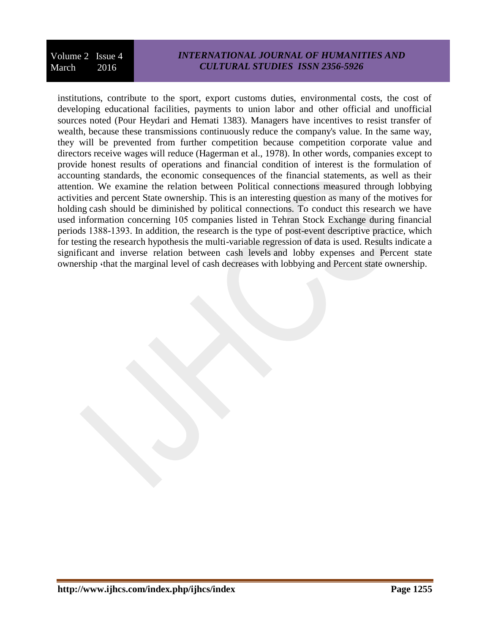Volume 2 Issue 4 March 2016

# *INTERNATIONAL JOURNAL OF HUMANITIES AND CULTURAL STUDIES ISSN 2356-5926*

institutions, contribute to the sport, export customs duties, environmental costs, the cost of developing educational facilities, payments to union labor and other official and unofficial sources noted (Pour Heydari and Hemati 1383). Managers have incentives to resist transfer of wealth, because these transmissions continuously reduce the company's value. In the same way, they will be prevented from further competition because competition corporate value and directors receive wages will reduce (Hagerman et al., 1978). In other words, companies except to provide honest results of operations and financial condition of interest is the formulation of accounting standards, the economic consequences of the financial statements, as well as their attention. We examine the relation between Political connections measured through lobbying activities and percent State ownership. This is an interesting question as many of the motives for holding cash should be diminished by political connections. To conduct this research we have used information concerning 105 companies listed in Tehran Stock Exchange during financial periods 1388-1393. In addition, the research is the type of post-event descriptive practice, which for testing the research hypothesis the multi-variable regression of data is used. Results indicate a significant and inverse relation between cash levels and lobby expenses and Percent state ownership «that the marginal level of cash decreases with lobbying and Percent state ownership.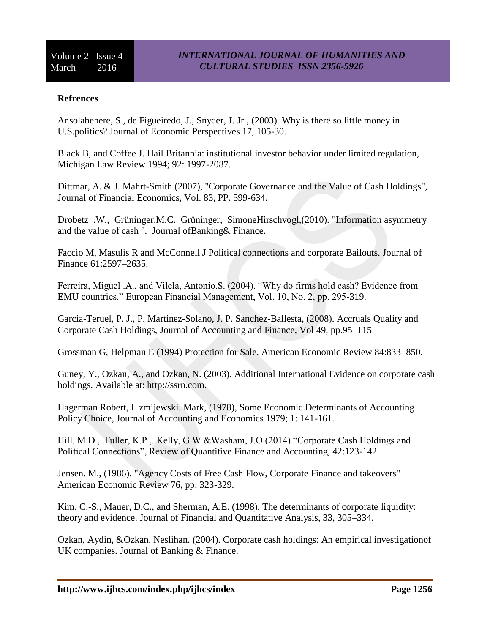### **Refrences**

Ansolabehere, S., de Figueiredo, J., Snyder, J. Jr., (2003). Why is there so little money in U.S.politics? Journal of Economic Perspectives 17, 105-30.

Black B, and Coffee J. Hail Britannia: institutional investor behavior under limited regulation, Michigan Law Review 1994; 92: 1997-2087.

Dittmar, A. & J. Mahrt-Smith (2007), "Corporate Governance and the Value of Cash Holdings", Journal of Financial Economics, Vol. 83, PP. 599-634.

Drobetz .W., Grüninger.M.C. Grüninger, SimoneHirschvogl,(2010). "Information asymmetry and the value of cash ". Journal ofBanking& Finance.

Faccio M, Masulis R and McConnell J Political connections and corporate Bailouts. Journal of Finance 61:2597–2635.

[Ferreira, Miguel .A., and Vilela, Antonio.S. \(2004\). "Why do firms hold cash? Evidence from](file:///E:/projects/Salmanpour/mohammad/نهایی/Ferreira,%20Miguel%20.A.,%20and%20Vilela,%20Antonio.S.%20(2004))  [EMU countries." European Financial Management, Vol. 10, No. 2, pp. 295-319.](file:///E:/projects/Salmanpour/mohammad/نهایی/Ferreira,%20Miguel%20.A.,%20and%20Vilela,%20Antonio.S.%20(2004))

Garcia-Teruel, P. J., P. Martinez-Solano, J. P. Sanchez-Ballesta, (2008). Accruals Quality and Corporate Cash Holdings, Journal of Accounting and Finance, Vol 49, pp.95–115

Grossman G, Helpman E (1994) Protection for Sale. American Economic Review 84:833–850.

Guney, Y., Ozkan, A., and Ozkan, N. (2003). Additional International Evidence on corporate cash holdings. Available at: [http://ssrn.com.](http://ssrn.com/)

Hagerman Robert, L zmijewski. Mark, (1978), Some Economic Determinants of Accounting Policy Choice, Journal of Accounting and Economics 1979; 1: 141-161.

Hill, M.D ,. Fuller, K.P ,. Kelly, G.W &Washam, J.O (2014) "Corporate Cash Holdings and Political Connections", Review of Quantitive Finance and Accounting, 42:123-142.

Jensen. M., (1986). "Agency Costs of Free Cash Flow, Corporate Finance and takeovers" American Economic Review 76, pp. 323-329.

Kim, C.-S., Mauer, D.C., and Sherman, A.E. (1998). The determinants of corporate liquidity: theory and evidence. Journal of Financial and Quantitative Analysis, 33, 305–334.

Ozkan, Aydin, &Ozkan, Neslihan. (2004). Corporate cash holdings: An empirical investigationof UK companies. Journal of Banking & Finance.